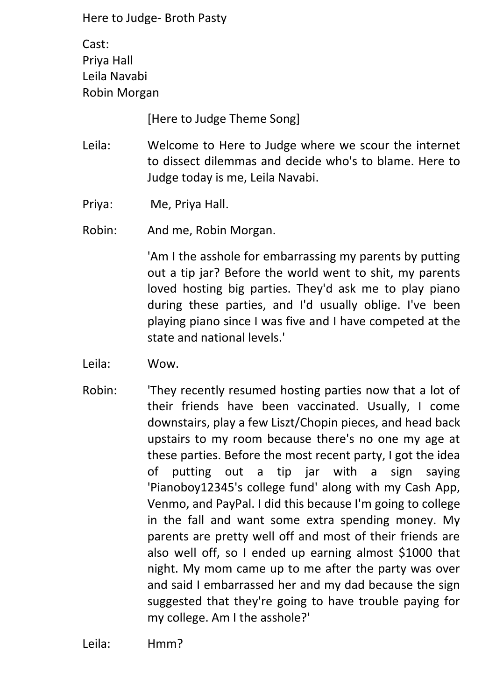Cast: Priya Hall Leila Navabi Robin Morgan

[Here to Judge Theme Song]

- Leila: Welcome to Here to Judge where we scour the internet to dissect dilemmas and decide who's to blame. Here to Judge today is me, Leila Navabi.
- Priya: Me, Priya Hall.
- Robin: And me, Robin Morgan.

'Am I the asshole for embarrassing my parents by putting out a tip jar? Before the world went to shit, my parents loved hosting big parties. They'd ask me to play piano during these parties, and I'd usually oblige. I've been playing piano since I was five and I have competed at the state and national levels.'

- Leila: Wow.
- Robin: 'They recently resumed hosting parties now that a lot of their friends have been vaccinated. Usually, I come downstairs, play a few Liszt/Chopin pieces, and head back upstairs to my room because there's no one my age at these parties. Before the most recent party, I got the idea of putting out a tip jar with a sign saying 'Pianoboy12345's college fund' along with my Cash App, Venmo, and PayPal. I did this because I'm going to college in the fall and want some extra spending money. My parents are pretty well off and most of their friends are also well off, so I ended up earning almost \$1000 that night. My mom came up to me after the party was over and said I embarrassed her and my dad because the sign suggested that they're going to have trouble paying for my college. Am I the asshole?'

Leila: Hmm?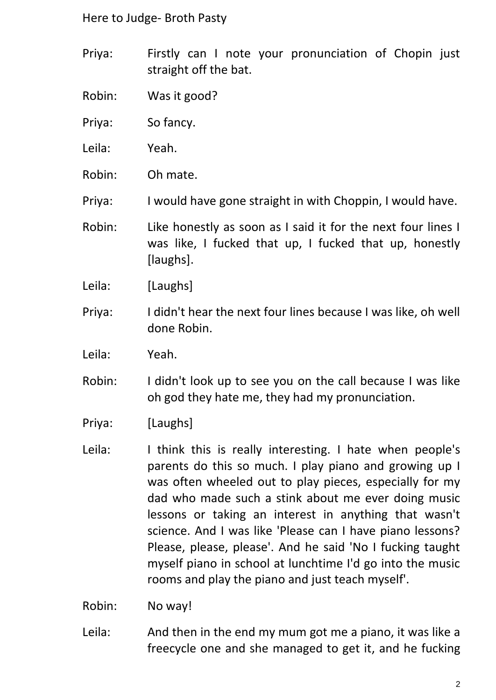- Priya: Firstly can I note your pronunciation of Chopin just straight off the bat.
- Robin: Was it good?
- Priya: So fancy.
- Leila: Yeah.
- Robin: Oh mate.
- Priya: I would have gone straight in with Choppin, I would have.
- Robin: Like honestly as soon as I said it for the next four lines I was like, I fucked that up, I fucked that up, honestly [laughs].
- Leila: [Laughs]
- Priya: I didn't hear the next four lines because I was like, oh well done Robin.
- Leila: Yeah.
- Robin: I didn't look up to see you on the call because I was like oh god they hate me, they had my pronunciation.
- Priya: [Laughs]
- Leila: I think this is really interesting. I hate when people's parents do this so much. I play piano and growing up I was often wheeled out to play pieces, especially for my dad who made such a stink about me ever doing music lessons or taking an interest in anything that wasn't science. And I was like 'Please can I have piano lessons? Please, please, please'. And he said 'No I fucking taught myself piano in school at lunchtime I'd go into the music rooms and play the piano and just teach myself'.
- Robin: No way!
- Leila: And then in the end my mum got me a piano, it was like a freecycle one and she managed to get it, and he fucking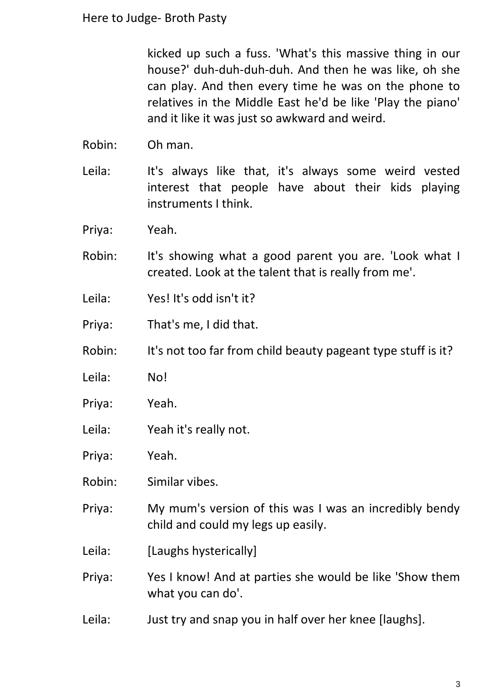kicked up such a fuss. 'What's this massive thing in our house?' duh-duh-duh-duh. And then he was like, oh she can play. And then every time he was on the phone to relatives in the Middle East he'd be like 'Play the piano' and it like it was just so awkward and weird.

- Robin: Oh man.
- Leila: It's always like that, it's always some weird vested interest that people have about their kids playing instruments I think.
- Priya: Yeah.
- Robin: It's showing what a good parent you are. 'Look what I created. Look at the talent that is really from me'.
- Leila: Yes! It's odd isn't it?
- Priya: That's me, I did that.
- Robin: It's not too far from child beauty pageant type stuff is it?
- Leila: No!
- Priya: Yeah.
- Leila: Yeah it's really not.
- Priya: Yeah.
- Robin: Similar vibes.
- Priya: My mum's version of this was I was an incredibly bendy child and could my legs up easily.
- Leila: [Laughs hysterically]
- Priya: Yes I know! And at parties she would be like 'Show them what you can do'.
- Leila: Just try and snap you in half over her knee [laughs].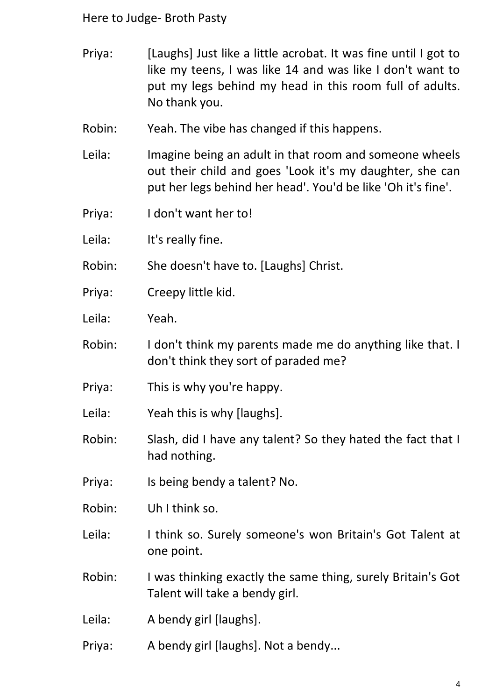- Priya: [Laughs] Just like a little acrobat. It was fine until I got to like my teens, I was like 14 and was like I don't want to put my legs behind my head in this room full of adults. No thank you.
- Robin: Yeah. The vibe has changed if this happens.
- Leila: Imagine being an adult in that room and someone wheels out their child and goes 'Look it's my daughter, she can put her legs behind her head'. You'd be like 'Oh it's fine'.
- Priya: I don't want her to!

Leila: It's really fine.

Robin: She doesn't have to. [Laughs] Christ.

- Priya: Creepy little kid.
- Leila: Yeah.
- Robin: I don't think my parents made me do anything like that. I don't think they sort of paraded me?
- Priya: This is why you're happy.
- Leila: Yeah this is why [laughs].
- Robin: Slash, did I have any talent? So they hated the fact that I had nothing.
- Priya: Is being bendy a talent? No.
- Robin: Uh I think so.
- Leila: I think so. Surely someone's won Britain's Got Talent at one point.
- Robin: I was thinking exactly the same thing, surely Britain's Got Talent will take a bendy girl.
- Leila: A bendy girl [laughs].
- Priya: A bendy girl [laughs]. Not a bendy...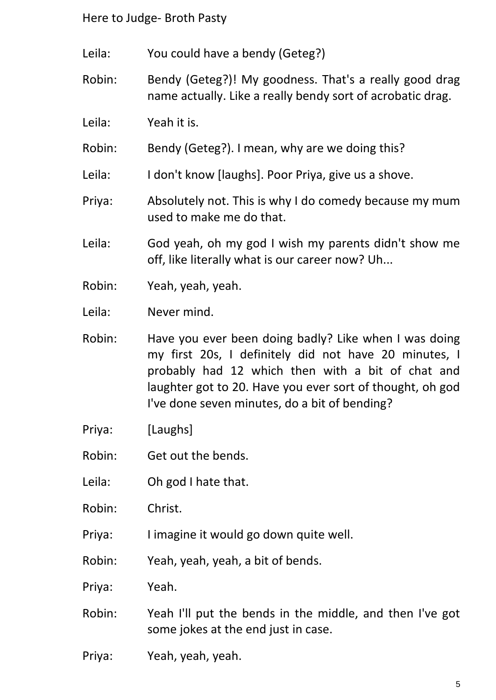Leila: You could have a bendy (Geteg?)

Robin: Bendy (Geteg?)! My goodness. That's a really good drag name actually. Like a really bendy sort of acrobatic drag.

Leila: Yeah it is.

Robin: Bendy (Geteg?). I mean, why are we doing this?

Leila: I don't know [laughs]. Poor Priya, give us a shove.

Priya: Absolutely not. This is why I do comedy because my mum used to make me do that.

Leila: God yeah, oh my god I wish my parents didn't show me off, like literally what is our career now? Uh...

Robin: Yeah, yeah, yeah.

Leila: Never mind.

Robin: Have you ever been doing badly? Like when I was doing my first 20s, I definitely did not have 20 minutes, I probably had 12 which then with a bit of chat and laughter got to 20. Have you ever sort of thought, oh god I've done seven minutes, do a bit of bending?

- Priya: [Laughs]
- Robin: Get out the bends.
- Leila: Oh god I hate that.
- Robin: Christ.
- Priya: I imagine it would go down quite well.
- Robin: Yeah, yeah, yeah, a bit of bends.
- Priya: Yeah.
- Robin: Yeah I'll put the bends in the middle, and then I've got some jokes at the end just in case.
- Priya: Yeah, yeah, yeah.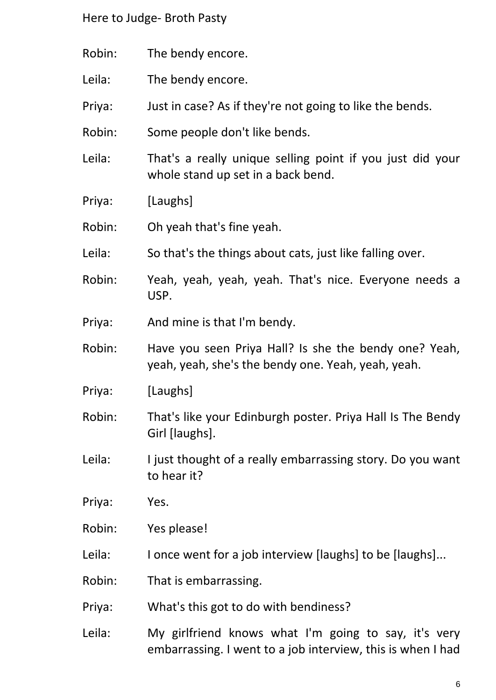Robin: The bendy encore. Leila: The bendy encore. Priya: Just in case? As if they're not going to like the bends. Robin: Some people don't like bends. Leila: That's a really unique selling point if you just did your whole stand up set in a back bend. Priya: [Laughs] Robin: Oh yeah that's fine yeah. Leila: So that's the things about cats, just like falling over. Robin: Yeah, yeah, yeah, yeah. That's nice. Everyone needs a USP. Priya: And mine is that I'm bendy. Robin: Have you seen Priya Hall? Is she the bendy one? Yeah, yeah, yeah, she's the bendy one. Yeah, yeah, yeah. Priya: [Laughs] Robin: That's like your Edinburgh poster. Priya Hall Is The Bendy Girl [laughs]. Leila: I just thought of a really embarrassing story. Do you want to hear it? Priya: Yes. Robin: Yes please! Leila: I once went for a job interview [laughs] to be [laughs]... Robin: That is embarrassing. Priya: What's this got to do with bendiness? Leila: My girlfriend knows what I'm going to say, it's very embarrassing. I went to a job interview, this is when I had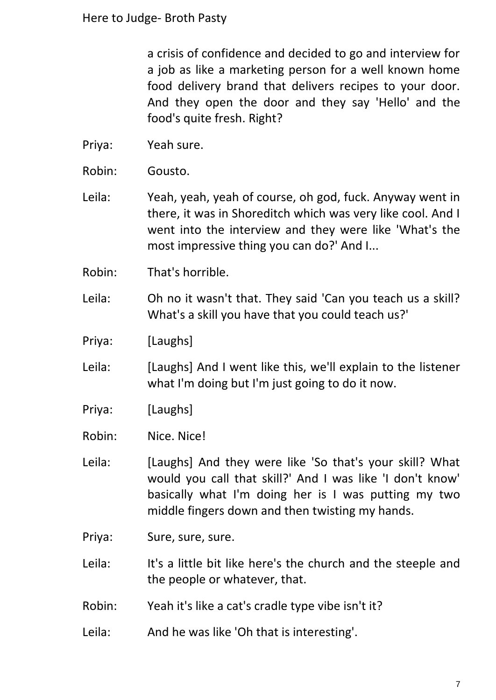a crisis of confidence and decided to go and interview for a job as like a marketing person for a well known home food delivery brand that delivers recipes to your door. And they open the door and they say 'Hello' and the food's quite fresh. Right?

- Priya: Yeah sure.
- Robin: Gousto.
- Leila: Yeah, yeah, yeah of course, oh god, fuck. Anyway went in there, it was in Shoreditch which was very like cool. And I went into the interview and they were like 'What's the most impressive thing you can do?' And I...
- Robin: That's horrible.
- Leila: Oh no it wasn't that. They said 'Can you teach us a skill? What's a skill you have that you could teach us?'
- Priya: [Laughs]
- Leila: [Laughs] And I went like this, we'll explain to the listener what I'm doing but I'm just going to do it now.
- Priya: [Laughs]
- Robin: Nice. Nice!
- Leila: [Laughs] And they were like 'So that's your skill? What would you call that skill?' And I was like 'I don't know' basically what I'm doing her is I was putting my two middle fingers down and then twisting my hands.
- Priya: Sure, sure, sure.
- Leila: It's a little bit like here's the church and the steeple and the people or whatever, that.
- Robin: Yeah it's like a cat's cradle type vibe isn't it?
- Leila: And he was like 'Oh that is interesting'.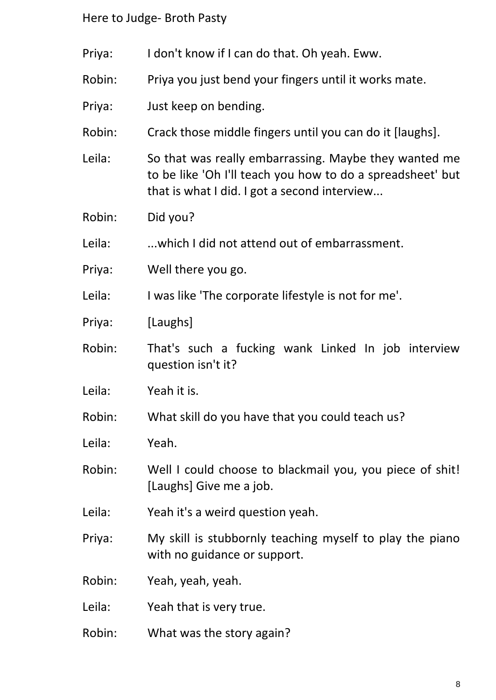- Priya: I don't know if I can do that. Oh yeah. Eww.
- Robin: Priya you just bend your fingers until it works mate.
- Priya: Just keep on bending.
- Robin: Crack those middle fingers until you can do it [laughs].
- Leila: So that was really embarrassing. Maybe they wanted me to be like 'Oh I'll teach you how to do a spreadsheet' but that is what I did. I got a second interview...
- Robin: Did you?

Leila: ...which I did not attend out of embarrassment.

- Priya: Well there you go.
- Leila: I was like 'The corporate lifestyle is not for me'.
- Priya: [Laughs]
- Robin: That's such a fucking wank Linked In job interview question isn't it?
- Leila: Yeah it is.
- Robin: What skill do you have that you could teach us?
- Leila: Yeah.
- Robin: Well I could choose to blackmail you, you piece of shit! [Laughs] Give me a job.
- Leila: Yeah it's a weird question yeah.
- Priya: My skill is stubbornly teaching myself to play the piano with no guidance or support.
- Robin: Yeah, yeah, yeah.
- Leila: Yeah that is very true.
- Robin: What was the story again?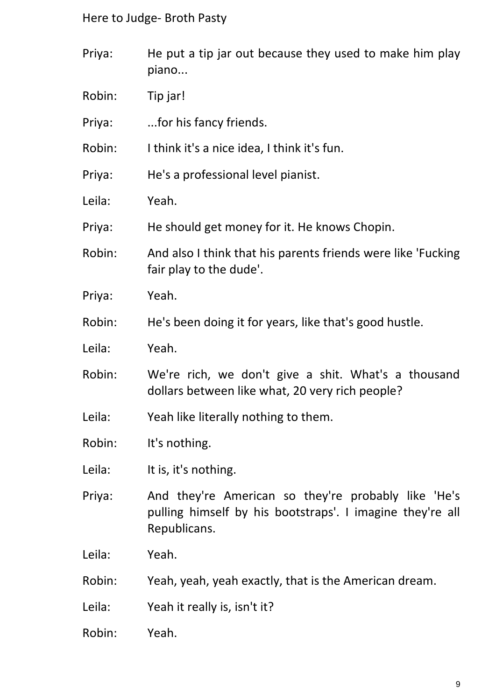- Priya: He put a tip jar out because they used to make him play piano...
- Robin: Tip jar!
- Priya: ...for his fancy friends.
- Robin: I think it's a nice idea, I think it's fun.
- Priya: He's a professional level pianist.
- Leila: Yeah.
- Priya: He should get money for it. He knows Chopin.
- Robin: And also I think that his parents friends were like 'Fucking fair play to the dude'.
- Priya: Yeah.
- Robin: He's been doing it for years, like that's good hustle.
- Leila: Yeah.
- Robin: We're rich, we don't give a shit. What's a thousand dollars between like what, 20 very rich people?
- Leila: Yeah like literally nothing to them.
- Robin: It's nothing.
- Leila: It is, it's nothing.
- Priya: And they're American so they're probably like 'He's pulling himself by his bootstraps'. I imagine they're all Republicans.
- Leila: Yeah.
- Robin: Yeah, yeah, yeah exactly, that is the American dream.
- Leila: Yeah it really is, isn't it?
- Robin: Yeah.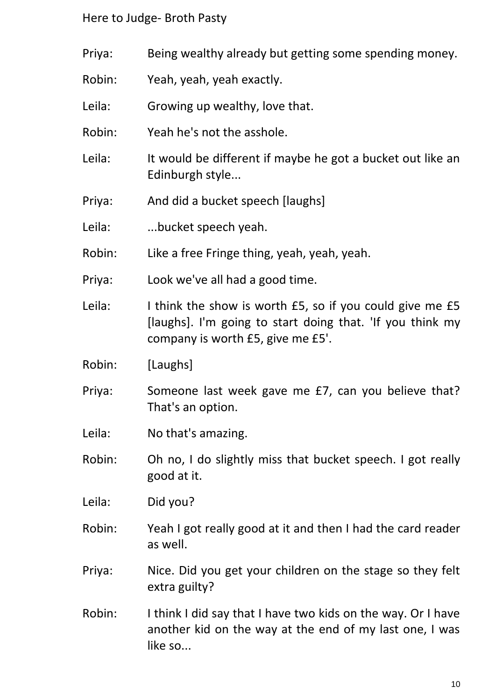- Priya: Being wealthy already but getting some spending money.
- Robin: Yeah, yeah, yeah exactly.
- Leila: Growing up wealthy, love that.
- Robin: Yeah he's not the asshole.
- Leila: It would be different if maybe he got a bucket out like an Edinburgh style...
- Priya: And did a bucket speech [laughs]
- Leila: ...bucket speech yeah.
- Robin: Like a free Fringe thing, yeah, yeah, yeah.
- Priya: Look we've all had a good time.
- Leila: I think the show is worth £5, so if you could give me £5 [laughs]. I'm going to start doing that. 'If you think my company is worth £5, give me £5'.
- Robin: [Laughs]
- Priya: Someone last week gave me £7, can you believe that? That's an option.
- Leila: No that's amazing.
- Robin: Oh no, I do slightly miss that bucket speech. I got really good at it.

Leila: Did you?

- Robin: Yeah I got really good at it and then I had the card reader as well.
- Priya: Nice. Did you get your children on the stage so they felt extra guilty?
- Robin: I think I did say that I have two kids on the way. Or I have another kid on the way at the end of my last one, I was like so...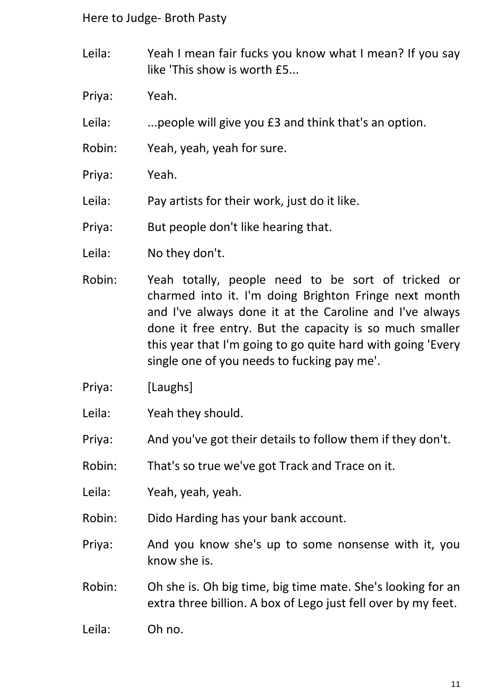Leila: Yeah I mean fair fucks you know what I mean? If you say like 'This show is worth £5...

Priya: Yeah.

Leila: ...people will give you £3 and think that's an option.

Robin: Yeah, yeah, yeah for sure.

Priya: Yeah.

Leila: Pay artists for their work, just do it like.

Priya: But people don't like hearing that.

Leila: No they don't.

- Robin: Yeah totally, people need to be sort of tricked or charmed into it. I'm doing Brighton Fringe next month and I've always done it at the Caroline and I've always done it free entry. But the capacity is so much smaller this year that I'm going to go quite hard with going 'Every single one of you needs to fucking pay me'.
- Priya: [Laughs]
- Leila: Yeah they should.

Priya: And you've got their details to follow them if they don't.

Robin: That's so true we've got Track and Trace on it.

Leila: Yeah, yeah, yeah.

Robin: Dido Harding has your bank account.

Priya: And you know she's up to some nonsense with it, you know she is.

Robin: Oh she is. Oh big time, big time mate. She's looking for an extra three billion. A box of Lego just fell over by my feet.

Leila: Oh no.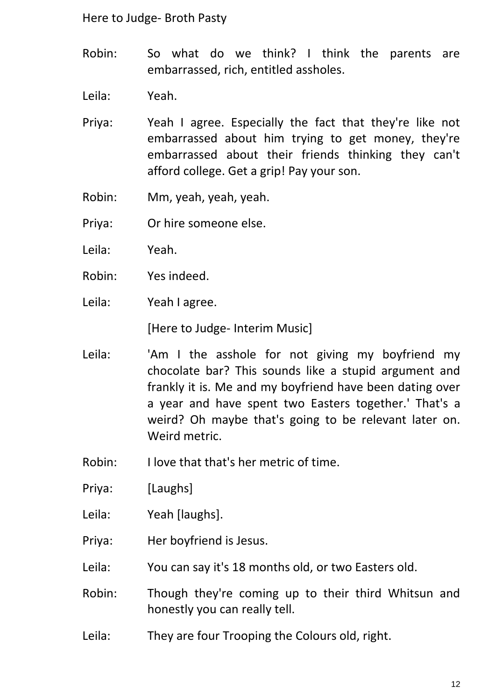Robin: So what do we think? I think the parents are embarrassed, rich, entitled assholes.

Leila: Yeah.

- Priya: Yeah I agree. Especially the fact that they're like not embarrassed about him trying to get money, they're embarrassed about their friends thinking they can't afford college. Get a grip! Pay your son.
- Robin: Mm, yeah, yeah, yeah.
- Priya: Or hire someone else.
- Leila: Yeah.
- Robin: Yes indeed.
- Leila: Yeah I agree.

[Here to Judge- Interim Music]

- Leila: 'Am I the asshole for not giving my boyfriend my chocolate bar? This sounds like a stupid argument and frankly it is. Me and my boyfriend have been dating over a year and have spent two Easters together.' That's a weird? Oh maybe that's going to be relevant later on. Weird metric.
- Robin: I love that that's her metric of time.
- Priya: [Laughs]
- Leila: Yeah [laughs].
- Priya: Her boyfriend is Jesus.
- Leila: You can say it's 18 months old, or two Easters old.
- Robin: Though they're coming up to their third Whitsun and honestly you can really tell.
- Leila: They are four Trooping the Colours old, right.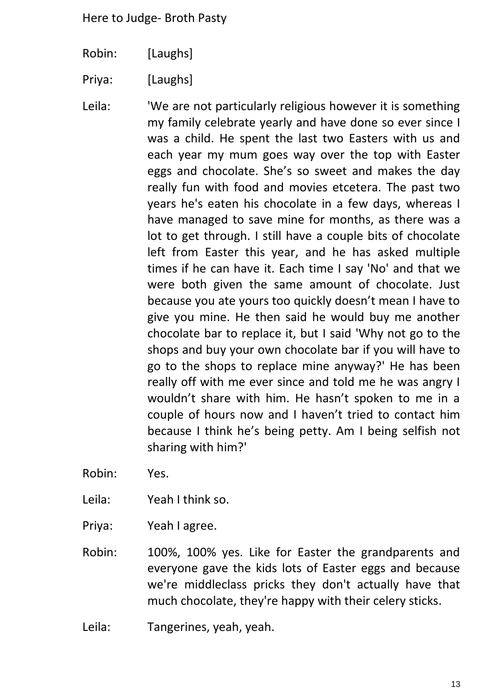- Robin: [Laughs]
- Priya: [Laughs]
- Leila: We are not particularly religious however it is something my family celebrate yearly and have done so ever since I was a child. He spent the last two Easters with us and each year my mum goes way over the top with Easter eggs and chocolate. She's so sweet and makes the day really fun with food and movies etcetera. The past two years he's eaten his chocolate in a few days, whereas I have managed to save mine for months, as there was a lot to get through. I still have a couple bits of chocolate left from Easter this year, and he has asked multiple times if he can have it. Each time I say 'No' and that we were both given the same amount of chocolate. Just because you ate yours too quickly doesn't mean I have to give you mine. He then said he would buy me another chocolate bar to replace it, but I said 'Why not go to the shops and buy your own chocolate bar if you will have to go to the shops to replace mine anyway?' He has been really off with me ever since and told me he was angry I wouldn't share with him. He hasn't spoken to me in a couple of hours now and I haven't tried to contact him because I think he's being petty. Am I being selfish not sharing with him?'
- Robin: Yes.
- Leila: Yeah I think so.
- Priya: Yeah I agree.
- Robin: 100%, 100% yes. Like for Easter the grandparents and everyone gave the kids lots of Easter eggs and because we're middleclass pricks they don't actually have that much chocolate, they're happy with their celery sticks.
- Leila: Tangerines, yeah, yeah.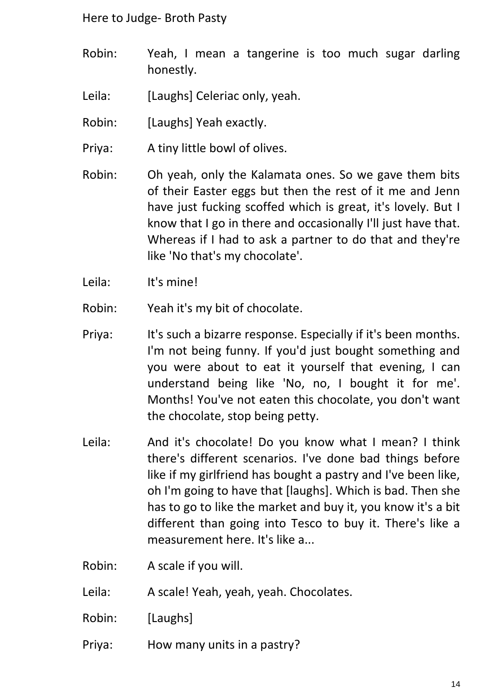- Robin: Yeah, I mean a tangerine is too much sugar darling honestly.
- Leila: [Laughs] Celeriac only, yeah.
- Robin: [Laughs] Yeah exactly.
- Priya: A tiny little bowl of olives.
- Robin: Oh yeah, only the Kalamata ones. So we gave them bits of their Easter eggs but then the rest of it me and Jenn have just fucking scoffed which is great, it's lovely. But I know that I go in there and occasionally I'll just have that. Whereas if I had to ask a partner to do that and they're like 'No that's my chocolate'.
- Leila: It's mine!
- Robin: Yeah it's my bit of chocolate.
- Priya: It's such a bizarre response. Especially if it's been months. I'm not being funny. If you'd just bought something and you were about to eat it yourself that evening, I can understand being like 'No, no, I bought it for me'. Months! You've not eaten this chocolate, you don't want the chocolate, stop being petty.
- Leila: And it's chocolate! Do you know what I mean? I think there's different scenarios. I've done bad things before like if my girlfriend has bought a pastry and I've been like, oh I'm going to have that [laughs]. Which is bad. Then she has to go to like the market and buy it, you know it's a bit different than going into Tesco to buy it. There's like a measurement here. It's like a...
- Robin: A scale if you will.
- Leila: A scale! Yeah, yeah, yeah. Chocolates.
- Robin: [Laughs]
- Priya: How many units in a pastry?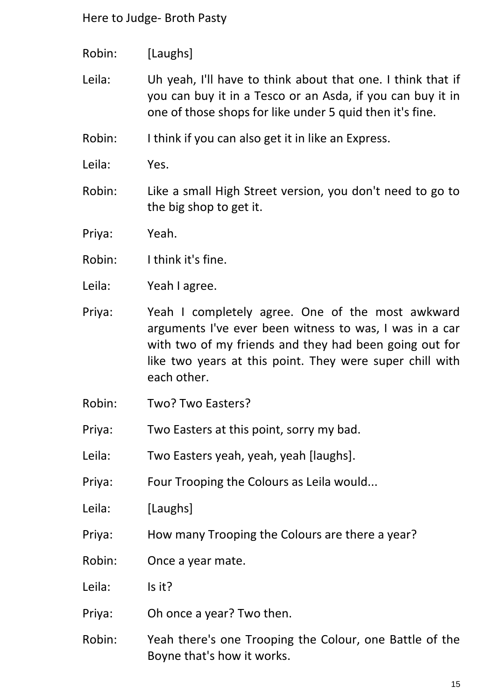- Robin: [Laughs]
- Leila: Uh yeah, I'll have to think about that one. I think that if you can buy it in a Tesco or an Asda, if you can buy it in one of those shops for like under 5 quid then it's fine.
- Robin: I think if you can also get it in like an Express.
- Leila: Yes.
- Robin: Like a small High Street version, you don't need to go to the big shop to get it.
- Priya: Yeah.
- Robin: I think it's fine.
- Leila: Yeah I agree.
- Priya: Yeah I completely agree. One of the most awkward arguments I've ever been witness to was, I was in a car with two of my friends and they had been going out for like two years at this point. They were super chill with each other.
- Robin: Two? Two Easters?
- Priya: Two Easters at this point, sorry my bad.
- Leila: Two Easters yeah, yeah, yeah [laughs].
- Priya: Four Trooping the Colours as Leila would...
- Leila: [Laughs]
- Priya: How many Trooping the Colours are there a year?
- Robin: Once a year mate.
- Leila: Is it?
- Priya: Oh once a year? Two then.
- Robin: Yeah there's one Trooping the Colour, one Battle of the Boyne that's how it works.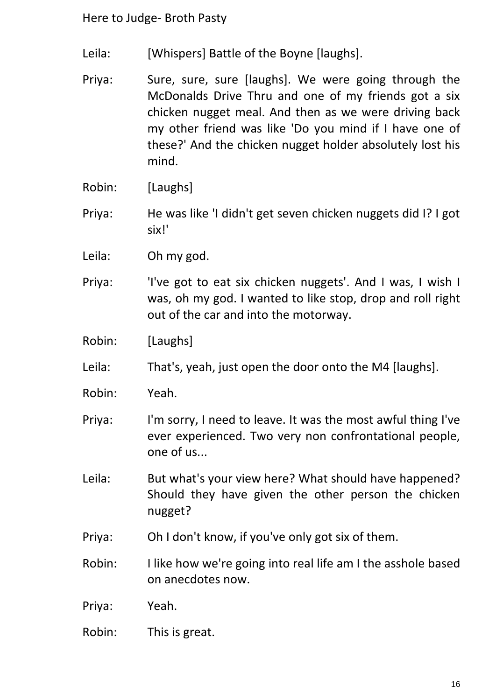- Leila: [Whispers] Battle of the Boyne [laughs].
- Priya: Sure, sure, sure [laughs]. We were going through the McDonalds Drive Thru and one of my friends got a six chicken nugget meal. And then as we were driving back my other friend was like 'Do you mind if I have one of these?' And the chicken nugget holder absolutely lost his mind.
- Robin: [Laughs]
- Priya: He was like 'I didn't get seven chicken nuggets did I? I got six!'
- Leila: Oh my god.
- Priya: 'I've got to eat six chicken nuggets'. And I was, I wish I was, oh my god. I wanted to like stop, drop and roll right out of the car and into the motorway.
- Robin: [Laughs]
- Leila: That's, yeah, just open the door onto the M4 [laughs].
- Robin: Yeah.
- Priya: I'm sorry, I need to leave. It was the most awful thing I've ever experienced. Two very non confrontational people, one of us...
- Leila: But what's your view here? What should have happened? Should they have given the other person the chicken nugget?
- Priya: Oh I don't know, if you've only got six of them.
- Robin: I like how we're going into real life am I the asshole based on anecdotes now.
- Priya: Yeah.
- Robin: This is great.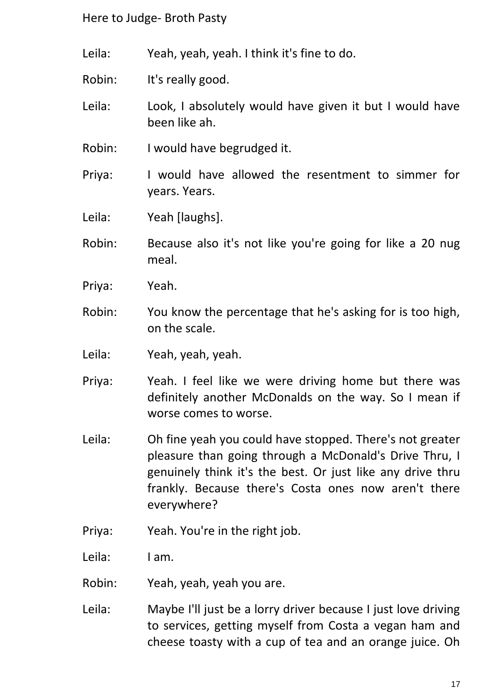Leila: Yeah, yeah, yeah. I think it's fine to do.

Robin: It's really good.

Leila: Look, I absolutely would have given it but I would have been like ah.

- Robin: I would have begrudged it.
- Priya: I would have allowed the resentment to simmer for years. Years.

Leila: Yeah [laughs].

- Robin: Because also it's not like you're going for like a 20 nug meal.
- Priya: Yeah.
- Robin: You know the percentage that he's asking for is too high, on the scale.
- Leila: Yeah, yeah, yeah.
- Priya: Yeah. I feel like we were driving home but there was definitely another McDonalds on the way. So I mean if worse comes to worse.
- Leila: Oh fine yeah you could have stopped. There's not greater pleasure than going through a McDonald's Drive Thru, I genuinely think it's the best. Or just like any drive thru frankly. Because there's Costa ones now aren't there everywhere?
- Priya: Yeah. You're in the right job.

Leila: I am.

Robin: Yeah, yeah, yeah you are.

Leila: Maybe I'll just be a lorry driver because I just love driving to services, getting myself from Costa a vegan ham and cheese toasty with a cup of tea and an orange juice. Oh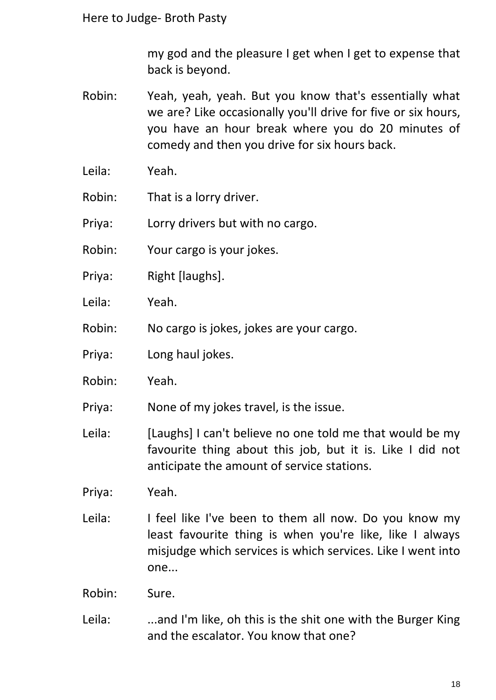my god and the pleasure I get when I get to expense that back is beyond.

- Robin: Yeah, yeah, yeah. But you know that's essentially what we are? Like occasionally you'll drive for five or six hours, you have an hour break where you do 20 minutes of comedy and then you drive for six hours back.
- Leila: Yeah.
- Robin: That is a lorry driver.
- Priya: Lorry drivers but with no cargo.
- Robin: Your cargo is your jokes.
- Priya: Right [laughs].
- Leila: Yeah.
- Robin: No cargo is jokes, jokes are your cargo.
- Priya: Long haul jokes.
- Robin: Yeah.
- Priya: None of my jokes travel, is the issue.
- Leila: [Laughs] I can't believe no one told me that would be my favourite thing about this job, but it is. Like I did not anticipate the amount of service stations.
- Priya: Yeah.
- Leila: I feel like I've been to them all now. Do you know my least favourite thing is when you're like, like I always misjudge which services is which services. Like I went into one...
- Robin: Sure.
- Leila: ...and I'm like, oh this is the shit one with the Burger King and the escalator. You know that one?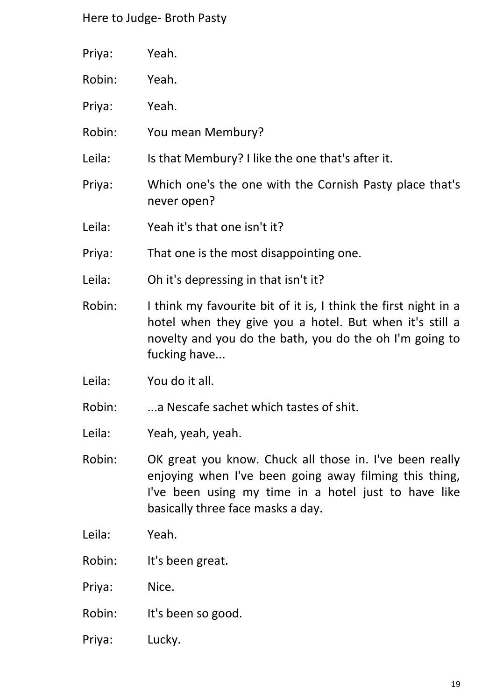| Priya: | Yeah.                                                                                                                                                                                                          |
|--------|----------------------------------------------------------------------------------------------------------------------------------------------------------------------------------------------------------------|
| Robin: | Yeah.                                                                                                                                                                                                          |
| Priya: | Yeah.                                                                                                                                                                                                          |
| Robin: | You mean Membury?                                                                                                                                                                                              |
| Leila: | Is that Membury? I like the one that's after it.                                                                                                                                                               |
| Priya: | Which one's the one with the Cornish Pasty place that's<br>never open?                                                                                                                                         |
| Leila: | Yeah it's that one isn't it?                                                                                                                                                                                   |
| Priya: | That one is the most disappointing one.                                                                                                                                                                        |
| Leila: | Oh it's depressing in that isn't it?                                                                                                                                                                           |
| Robin: | I think my favourite bit of it is, I think the first night in a<br>hotel when they give you a hotel. But when it's still a<br>novelty and you do the bath, you do the oh I'm going to<br>fucking have          |
| Leila: | You do it all.                                                                                                                                                                                                 |
| Robin: | a Nescafe sachet which tastes of shit.                                                                                                                                                                         |
| Leila: | Yeah, yeah, yeah.                                                                                                                                                                                              |
| Robin: | OK great you know. Chuck all those in. I've been really<br>enjoying when I've been going away filming this thing,<br>I've been using my time in a hotel just to have like<br>basically three face masks a day. |
| Leila: | Yeah.                                                                                                                                                                                                          |
| Robin: | It's been great.                                                                                                                                                                                               |
| Priya: | Nice.                                                                                                                                                                                                          |
| Robin: | It's been so good.                                                                                                                                                                                             |

Priya: Lucky.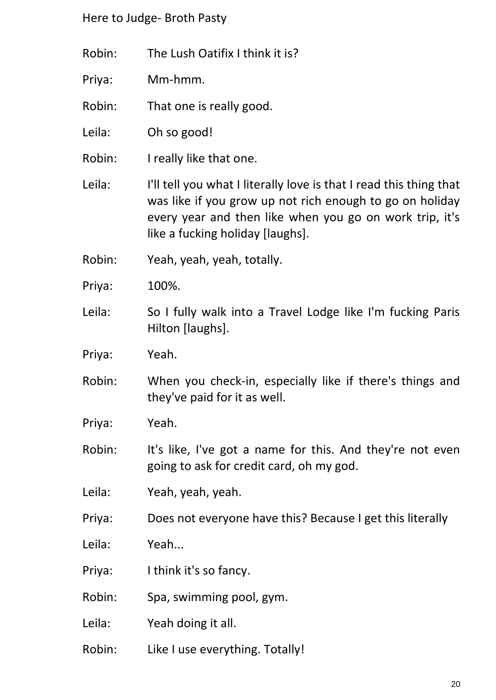- Robin: The Lush Oatifix I think it is?
- Priya: Mm-hmm.
- Robin: That one is really good.
- Leila: Oh so good!
- Robin: I really like that one.
- Leila: I'll tell you what I literally love is that I read this thing that was like if you grow up not rich enough to go on holiday every year and then like when you go on work trip, it's like a fucking holiday [laughs].
- Robin: Yeah, yeah, yeah, totally.
- Priya: 100%.
- Leila: So I fully walk into a Travel Lodge like I'm fucking Paris Hilton [laughs].
- Priya: Yeah.
- Robin: When you check-in, especially like if there's things and they've paid for it as well.
- Priya: Yeah.
- Robin: It's like, I've got a name for this. And they're not even going to ask for credit card, oh my god.
- Leila: Yeah, yeah, yeah.
- Priya: Does not everyone have this? Because I get this literally
- Leila: Yeah...
- Priya: I think it's so fancy.
- Robin: Spa, swimming pool, gym.
- Leila: Yeah doing it all.
- Robin: Like I use everything. Totally!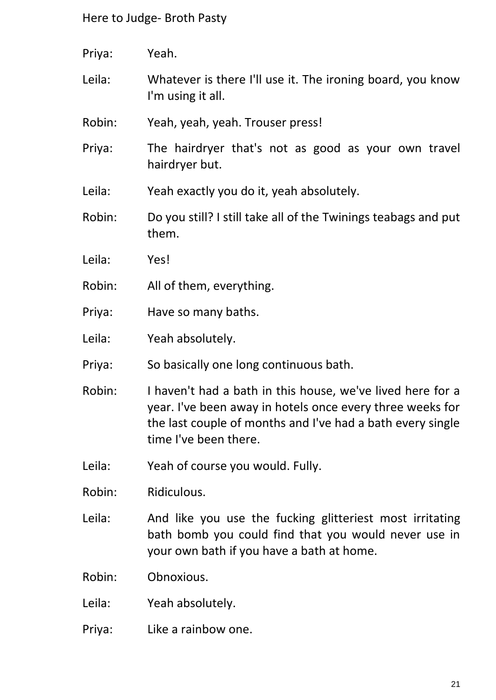- Priya: Yeah.
- Leila: Whatever is there I'll use it. The ironing board, you know I'm using it all.
- Robin: Yeah, yeah, yeah. Trouser press!
- Priya: The hairdryer that's not as good as your own travel hairdryer but.
- Leila: Yeah exactly you do it, yeah absolutely.
- Robin: Do you still? I still take all of the Twinings teabags and put them.
- Leila: Yes!
- Robin: All of them, everything.
- Priya: Have so many baths.
- Leila: Yeah absolutely.
- Priya: So basically one long continuous bath.
- Robin: I haven't had a bath in this house, we've lived here for a year. I've been away in hotels once every three weeks for the last couple of months and I've had a bath every single time I've been there.
- Leila: Yeah of course you would. Fully.
- Robin: Ridiculous.
- Leila: And like you use the fucking glitteriest most irritating bath bomb you could find that you would never use in your own bath if you have a bath at home.
- Robin: Obnoxious.
- Leila: Yeah absolutely.
- Priya: Like a rainbow one.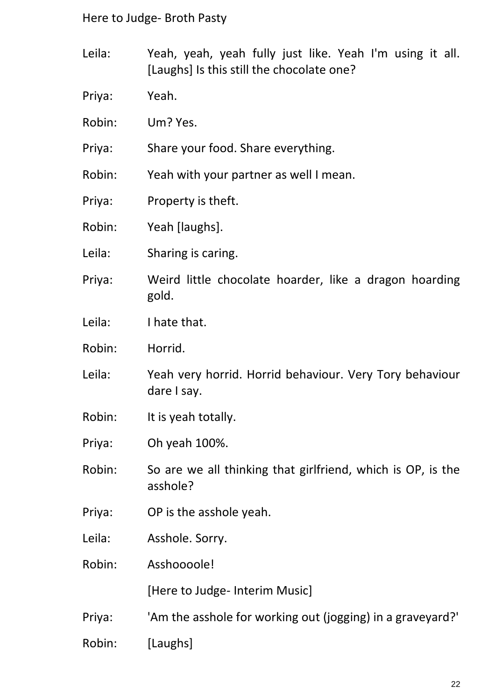- Leila: Yeah, yeah, yeah fully just like. Yeah I'm using it all. [Laughs] Is this still the chocolate one?
- Priya: Yeah.
- Robin: Um? Yes.
- Priya: Share your food. Share everything.
- Robin: Yeah with your partner as well I mean.
- Priya: Property is theft.
- Robin: Yeah [laughs].
- Leila: Sharing is caring.
- Priya: Weird little chocolate hoarder, like a dragon hoarding gold.
- Leila: I hate that.
- Robin: Horrid.
- Leila: Yeah very horrid. Horrid behaviour. Very Tory behaviour dare I say.
- Robin: It is yeah totally.
- Priya: Oh yeah 100%.
- Robin: So are we all thinking that girlfriend, which is OP, is the asshole?
- Priya: OP is the asshole yeah.
- Leila: Asshole. Sorry.
- Robin: Asshoooole!

[Here to Judge- Interim Music]

- Priya: 'Am the asshole for working out (jogging) in a graveyard?'
- Robin: [Laughs]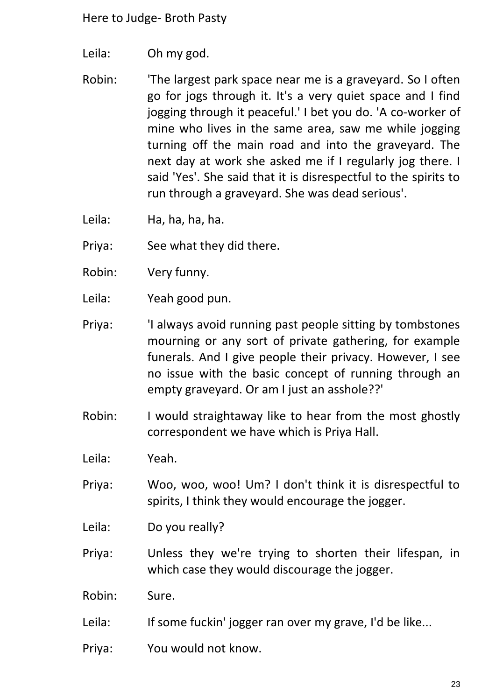- Leila: Oh my god.
- Robin: 'The largest park space near me is a graveyard. So I often go for jogs through it. It's a very quiet space and I find jogging through it peaceful.' I bet you do. 'A co-worker of mine who lives in the same area, saw me while jogging turning off the main road and into the graveyard. The next day at work she asked me if I regularly jog there. I said 'Yes'. She said that it is disrespectful to the spirits to run through a graveyard. She was dead serious'.
- Leila: Ha, ha, ha, ha.
- Priya: See what they did there.
- Robin: Very funny.
- Leila: Yeah good pun.
- Priya: 'I always avoid running past people sitting by tombstones mourning or any sort of private gathering, for example funerals. And I give people their privacy. However, I see no issue with the basic concept of running through an empty graveyard. Or am I just an asshole??'
- Robin: I would straightaway like to hear from the most ghostly correspondent we have which is Priya Hall.
- Leila: Yeah.
- Priya: Woo, woo, woo! Um? I don't think it is disrespectful to spirits, I think they would encourage the jogger.
- Leila: Do you really?
- Priya: Unless they we're trying to shorten their lifespan, in which case they would discourage the jogger.
- Robin: Sure.
- Leila: If some fuckin' jogger ran over my grave, I'd be like...
- Priya: You would not know.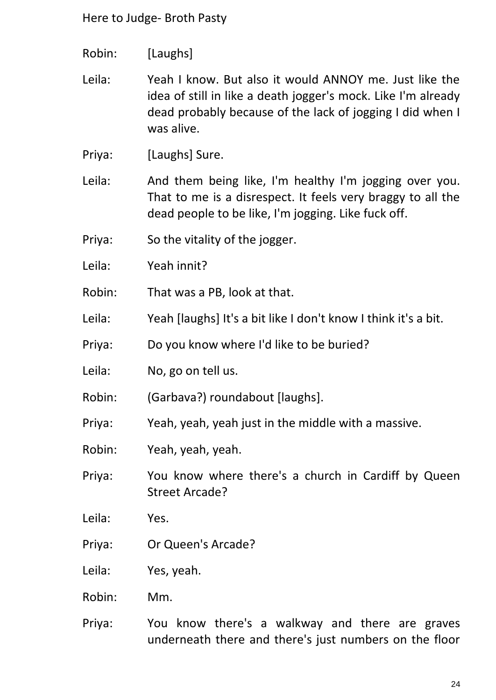Robin: [Laughs]

Leila: Yeah I know. But also it would ANNOY me. Just like the idea of still in like a death jogger's mock. Like I'm already dead probably because of the lack of jogging I did when I was alive.

Priya: [Laughs] Sure.

Leila: And them being like, I'm healthy I'm jogging over you. That to me is a disrespect. It feels very braggy to all the dead people to be like, I'm jogging. Like fuck off.

- Priya: So the vitality of the jogger.
- Leila: Yeah innit?
- Robin: That was a PB, look at that.
- Leila: Yeah [laughs] It's a bit like I don't know I think it's a bit.
- Priya: Do you know where I'd like to be buried?
- Leila: No, go on tell us.
- Robin: (Garbava?) roundabout [laughs].
- Priya: Yeah, yeah, yeah just in the middle with a massive.
- Robin: Yeah, yeah, yeah.

Priya: You know where there's a church in Cardiff by Queen Street Arcade?

- Leila: Yes.
- Priya: Or Queen's Arcade?
- Leila: Yes, yeah.
- Robin: Mm.
- Priya: You know there's a walkway and there are graves underneath there and there's just numbers on the floor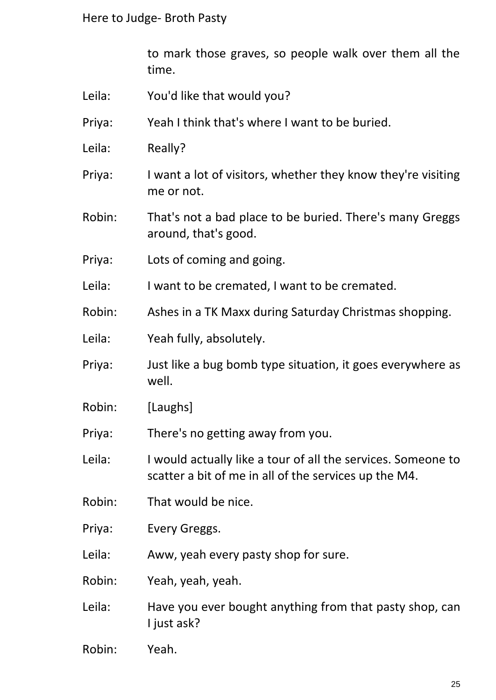to mark those graves, so people walk over them all the time.

- Leila: You'd like that would you?
- Priya: Yeah I think that's where I want to be buried.
- Leila: Really?
- Priya: I want a lot of visitors, whether they know they're visiting me or not.
- Robin: That's not a bad place to be buried. There's many Greggs around, that's good.
- Priya: Lots of coming and going.
- Leila: I want to be cremated, I want to be cremated.
- Robin: Ashes in a TK Maxx during Saturday Christmas shopping.
- Leila: Yeah fully, absolutely.
- Priya: Just like a bug bomb type situation, it goes everywhere as well.
- Robin: [Laughs]
- Priya: There's no getting away from you.
- Leila: I would actually like a tour of all the services. Someone to scatter a bit of me in all of the services up the M4.
- Robin: That would be nice.
- Priya: Every Greggs.
- Leila: Aww, yeah every pasty shop for sure.
- Robin: Yeah, yeah, yeah.
- Leila: Have you ever bought anything from that pasty shop, can I just ask?
- Robin: Yeah.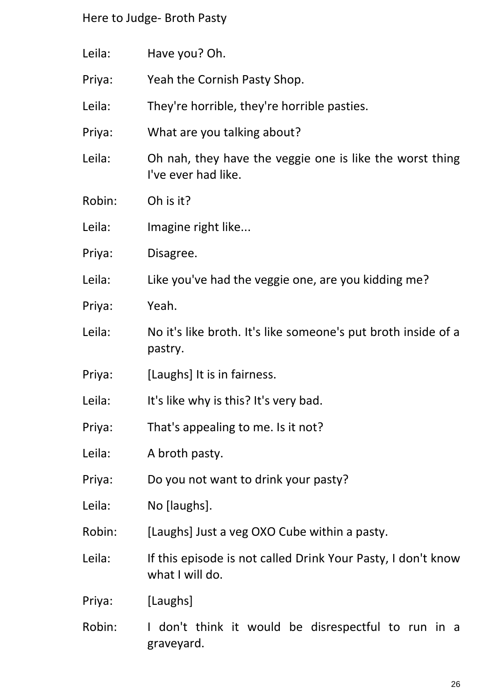Leila: Have you? Oh. Priya: Yeah the Cornish Pasty Shop. Leila: They're horrible, they're horrible pasties. Priya: What are you talking about? Leila: Oh nah, they have the veggie one is like the worst thing I've ever had like. Robin: Oh is it? Leila: Imagine right like... Priya: Disagree. Leila: Like you've had the veggie one, are you kidding me? Priya: Yeah. Leila: No it's like broth. It's like someone's put broth inside of a pastry. Priya: [Laughs] It is in fairness. Leila: It's like why is this? It's very bad. Priya: That's appealing to me. Is it not? Leila: A broth pasty. Priya: Do you not want to drink your pasty? Leila: No [laughs]. Robin: [Laughs] Just a veg OXO Cube within a pasty. Leila: If this episode is not called Drink Your Pasty, I don't know what I will do. Priya: [Laughs] Robin: I don't think it would be disrespectful to run in a graveyard.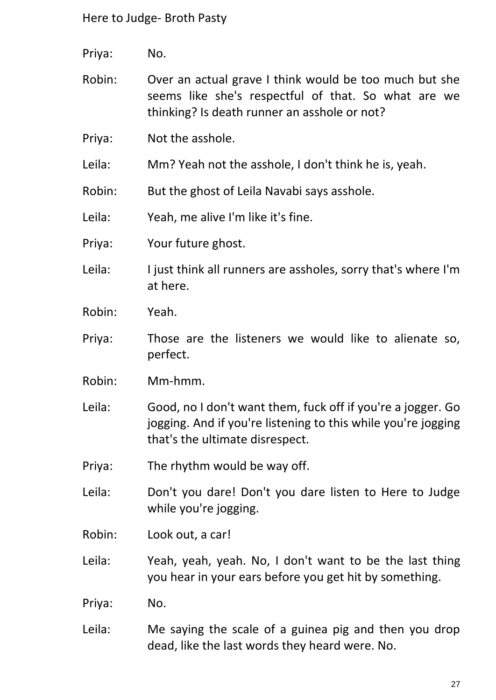- Priya: No.
- Robin: Over an actual grave I think would be too much but she seems like she's respectful of that. So what are we thinking? Is death runner an asshole or not?
- Priya: Not the asshole.
- Leila: Mm? Yeah not the asshole, I don't think he is, yeah.
- Robin: But the ghost of Leila Navabi says asshole.

Leila: Yeah, me alive I'm like it's fine.

- Priya: Your future ghost.
- Leila: I just think all runners are assholes, sorry that's where I'm at here.
- Robin: Yeah.
- Priya: Those are the listeners we would like to alienate so, perfect.
- Robin: Mm-hmm.
- Leila: Good, no I don't want them, fuck off if you're a jogger. Go jogging. And if you're listening to this while you're jogging that's the ultimate disrespect.
- Priya: The rhythm would be way off.
- Leila: Don't you dare! Don't you dare listen to Here to Judge while you're jogging.
- Robin: Look out, a car!
- Leila: Yeah, yeah, yeah. No, I don't want to be the last thing you hear in your ears before you get hit by something.
- Priya: No.
- Leila: Me saying the scale of a guinea pig and then you drop dead, like the last words they heard were. No.